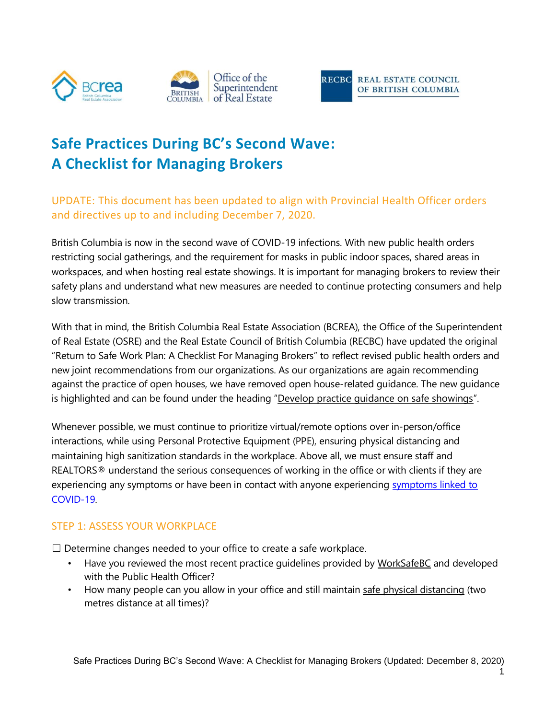



# **Safe Practices During BC's Second Wave: A Checklist for Managing Brokers**

UPDATE: This document has been updated to align with Provincial Health Officer orders and directives up to and including December 7, 2020.

British Columbia is now in the second wave of COVID-19 infections. With new public health orders restricting social gatherings, and the requirement for masks in public indoor spaces, shared areas in workspaces, and when hosting real estate showings. It is important for managing brokers to review their safety plans and understand what new measures are needed to continue protecting consumers and help slow transmission.

With that in mind, the British Columbia Real Estate Association (BCREA), the Office of the Superintendent of Real Estate (OSRE) and the Real Estate Council of British Columbia (RECBC) have updated the original "Return to Safe Work Plan: A Checklist For Managing Brokers" to reflect revised public health orders and new joint recommendations from our organizations. As our organizations are again recommending against the practice of open houses, we have removed open house-related guidance. The new guidance is highlighted and can be found under the heading "Develop practice quidance on safe showings".

Whenever possible, we must continue to prioritize virtual/remote options over in-person/office interactions, while using Personal Protective Equipment (PPE), ensuring physical distancing and maintaining high sanitization standards in the workplace. Above all, we must ensure staff and REALTORS® understand the serious consequences of working in the office or with clients if they are experiencing any [symptoms](https://www.canada.ca/en/public-health/services/diseases/2019-novel-coronavirus-infection/symptoms.html) or have been in contact with anyone experiencing symptoms linked to [COVID-19.](https://www.canada.ca/en/public-health/services/diseases/2019-novel-coronavirus-infection/symptoms.html)

#### STEP 1: ASSESS YOUR WORKPLACE

 $\Box$  Determine changes needed to your office to create a safe workplace.

- Have you reviewed the most recent practice quidelines provided by [WorkSafeBC](https://www.worksafebc.com/en/about-us/covid-19-updates/covid-19-returning-safe-operation/real-estate) and developed with the Public Health Officer?
- How many people can you allow in your office and still maintai[n safe physical distancing](http://www.bccdc.ca/health-info/diseases-conditions/covid-19/prevention-risks/physical-distancing) (two metres distance at all times)?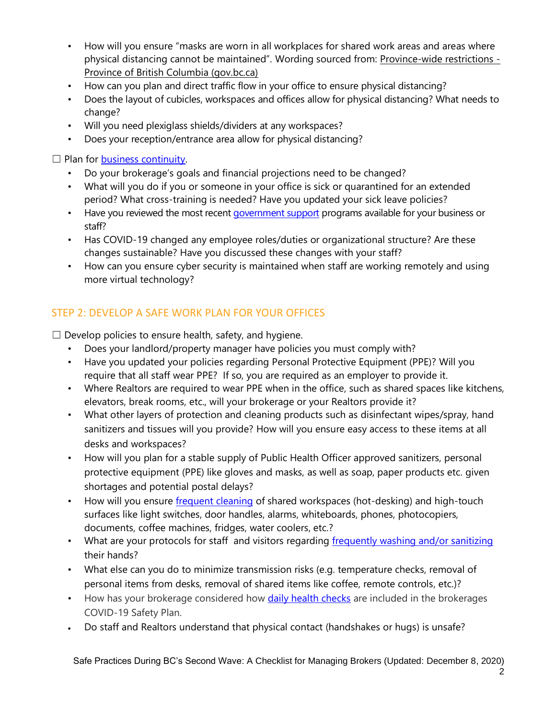- How will you ensure "masks are worn in all workplaces for shared work areas and areas where physical distancing cannot be maintained". Wording sourced from: [Province-wide restrictions -](https://www2.gov.bc.ca/gov/content/safety/emergency-preparedness-response-recovery/covid-19-provincial-support/restrictions#masks) [Province of British Columbia \(gov.bc.ca\)](https://www2.gov.bc.ca/gov/content/safety/emergency-preparedness-response-recovery/covid-19-provincial-support/restrictions#masks)
- How can you plan and direct traffic flow in your office to ensure physical distancing?
- Does the layout of cubicles, workspaces and offices allow for physical distancing? What needs to change?
- Will you need plexiglass shields/dividers at any workspaces?
- Does your reception/entrance area allow for physical distancing?

 $\Box$  Plan for **business continuity**.

- Do your brokerage's goals and financial projections need to be changed?
- What will you do if you or someone in your office is sick or quarantined for an extended period? What cross-training is needed? Have you updated your sick leave policies?
- Have you reviewed the most recent [government support](https://www.canada.ca/en/department-finance/economic-response-plan.html) programs available for your business or staff?
- Has COVID-19 changed any employee roles/duties or organizational structure? Are these changes sustainable? Have you discussed these changes with your staff?
- How can you ensure cyber security is maintained when staff are working remotely and using more virtual technology?

### STEP 2: DEVELOP A SAFE WORK PLAN FOR YOUR OFFICES

 $\Box$  Develop policies to ensure health, safety, and hygiene.

- Does your landlord/property manager have policies you must comply with?
- Have you updated your policies regarding Personal Protective Equipment (PPE)? Will you require that all staff wear PPE? If so, you are required as an employer to provide it.
- Where Realtors are required to wear PPE when in the office, such as shared spaces like kitchens, elevators, break rooms, etc., will your brokerage or your Realtors provide it?
- What other layers of protection and cleaning products such as disinfectant wipes/spray, hand sanitizers and tissues will you provide? How will you ensure easy access to these items at all desks and workspaces?
- How will you plan for a stable supply of Public Health Officer approved sanitizers, personal protective equipment (PPE) like gloves and masks, as well as soap, paper products etc. given shortages and potential postal delays?
- How will you ensure [frequent cleaning](https://www.canada.ca/en/public-health/services/publications/diseases-conditions/cleaning-disinfecting-public-spaces.html) of shared workspaces (hot-desking) and high-touch surfaces like light switches, door handles, alarms, whiteboards, phones, photocopiers, documents, coffee machines, fridges, water coolers, etc.?
- What are your protocols for staff and visitors regarding [frequently washing](http://www.bccdc.ca/health-info/diseases-conditions/covid-19/prevention-risks/hand-washing) and/or sanitizing their hands?
- What else can you do to minimize transmission risks (e.g. temperature checks, removal of personal items from desks, removal of shared items like coffee, remote controls, etc.)?
- How has your brokerage considered how **daily health checks** are included in the brokerages COVID-19 Safety Plan.
- Do staff and Realtors understand that physical contact (handshakes or hugs) is unsafe?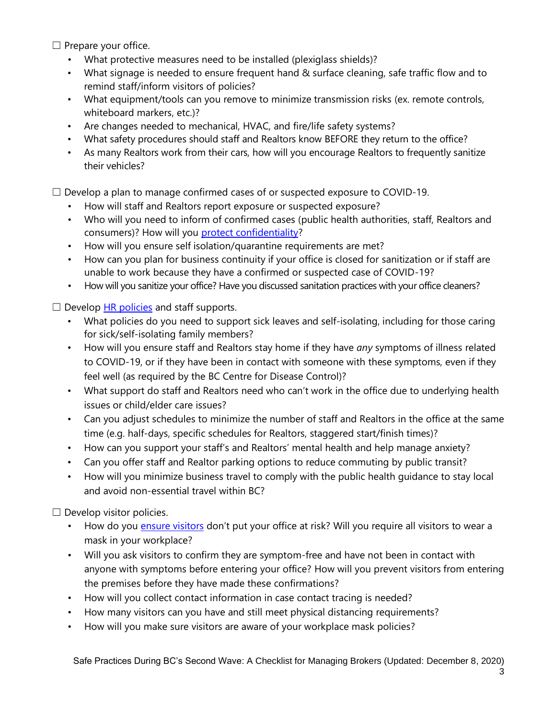$\Box$  Prepare your office.

- What protective measures need to be installed (plexiglass shields)?
- What signage is needed to ensure frequent hand & surface cleaning, safe traffic flow and to remind staff/inform visitors of policies?
- What equipment/tools can you remove to minimize transmission risks (ex. remote controls, whiteboard markers, etc.)?
- Are changes needed to mechanical, HVAC, and fire/life safety systems?
- What safety procedures should staff and Realtors know BEFORE they return to the office?
- As many Realtors work from their cars, how will you encourage Realtors to frequently sanitize their vehicles?

 $\Box$  Develop a plan to manage confirmed cases of or suspected exposure to COVID-19.

- How will staff and Realtors report exposure or suspected exposure?
- Who will you need to inform of confirmed cases (public health authorities, staff, Realtors and consumers)? How will you [protect confidentiality?](file:///C:/Users/jlynch/OneDrive%20-%20BC%20Real%20Estate%20Association/Disclosure%20of%20Personal%20Information%20in%20a%20Health%20Crisis.pdf)
- How will you ensure self isolation/quarantine requirements are met?
- How can you plan for business continuity if your office is closed for sanitization or if staff are unable to work because they have a confirmed or suspected case of COVID-19?
- How will you sanitize your office? Have you discussed sanitation practices with your office cleaners?

 $\Box$  Develop [HR policies](https://www.nortonrosefulbright.com/en-ca/knowledge/publications/e295891c/coronavirus-outbreak-what-canadian-employers-can-do) and staff supports.

- What policies do you need to support sick leaves and self-isolating, including for those caring for sick/self-isolating family members?
- How will you ensure staff and Realtors stay home if they have *any* symptoms of illness related to COVID-19, or if they have been in contact with someone with these symptoms, even if they feel well (as required by the BC Centre for Disease Control)?
- What support do staff and Realtors need who can't work in the office due to underlying health issues or child/elder care issues?
- Can you adjust schedules to minimize the number of staff and Realtors in the office at the same time (e.g. half-days, specific schedules for Realtors, staggered start/finish times)?
- How can you support your staff's and Realtors' mental health and help manage anxiety?
- Can you offer staff and Realtor parking options to reduce commuting by public transit?
- How will you minimize business travel to comply with the public health guidance to stay local and avoid non-essential travel within BC?

 $\Box$  Develop visitor policies.

- How do you [ensure visitors](https://www.worksafebc.com/en/resources/health-safety/posters/help-prevent-spread-covid-19-entry-check-visitors?lang=en&origin=s&returnurl=https%3A%2F%2Fwww.worksafebc.com%2Fen%2Fforms-resources%23sort%3D%2540fcomputeditemdatefield343%2520descending%26f%3Alanguage-facet%3D%5BEnglish%5D%26tags%3DCovid-19%7Ca96b6c96607345c481bb8621425ea03f) don't put your office at risk? Will you require all visitors to wear a mask in your workplace?
- Will you ask visitors to confirm they are symptom-free and have not been in contact with anyone with symptoms before entering your office? How will you prevent visitors from entering the premises before they have made these confirmations?
- How will you collect contact information in case contact tracing is needed?
- How many visitors can you have and still meet physical distancing requirements?
- How will you make sure visitors are aware of your workplace mask policies?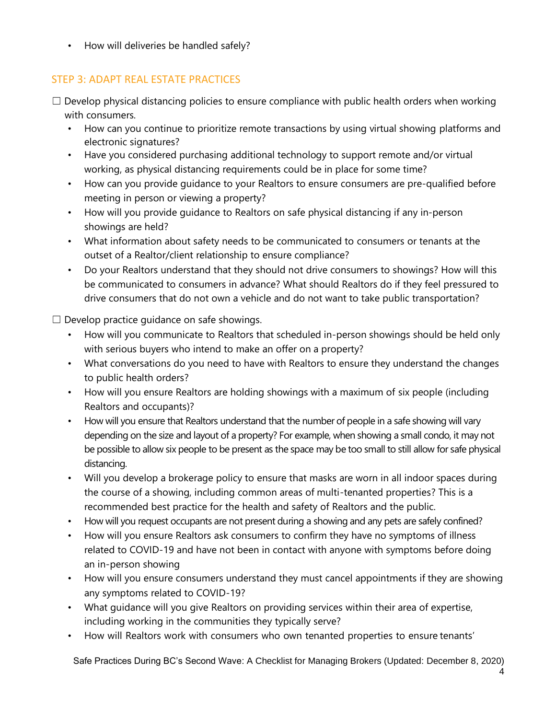• How will deliveries be handled safely?

#### STEP 3: ADAPT REAL ESTATE PRACTICES

- $\Box$  Develop physical distancing policies to ensure compliance with public health orders when working with consumers.
	- How can you continue to prioritize remote transactions by using virtual showing platforms and electronic signatures?
	- Have you considered purchasing additional technology to support remote and/or virtual working, as physical distancing requirements could be in place for some time?
	- How can you provide guidance to your Realtors to ensure consumers are pre-qualified before meeting in person or viewing a property?
	- How will you provide guidance to Realtors on safe physical distancing if any in-person showings are held?
	- What information about safety needs to be communicated to consumers or tenants at the outset of a Realtor/client relationship to ensure compliance?
	- Do your Realtors understand that they should not drive consumers to showings? How will this be communicated to consumers in advance? What should Realtors do if they feel pressured to drive consumers that do not own a vehicle and do not want to take public transportation?

<span id="page-3-0"></span> $\Box$  Develop practice quidance on safe showings.

- How will you communicate to Realtors that scheduled in-person showings should be held only with serious buyers who intend to make an offer on a property?
- What conversations do you need to have with Realtors to ensure they understand the changes to public health orders?
- How will you ensure Realtors are holding showings with a maximum of six people (including Realtors and occupants)?
- How will you ensure that Realtors understand that the number of people in a safe showing will vary depending on the size and layout of a property? For example, when showing a small condo, it may not be possible to allow six people to be present as the space may be too small to still allow for safe physical distancing.
- Will you develop a brokerage policy to ensure that masks are worn in all indoor spaces during the course of a showing, including common areas of multi-tenanted properties? This is a recommended best practice for the health and safety of Realtors and the public.
- How will you request occupants are not present during a showing and any pets are safely confined?
- How will you ensure Realtors ask consumers to confirm they have no symptoms of illness related to COVID-19 and have not been in contact with anyone with symptoms before doing an in-person showing
- How will you ensure consumers understand they must cancel appointments if they are showing any symptoms related to COVID-19?
- What guidance will you give Realtors on providing services within their area of expertise, including working in the communities they typically serve?
- How will Realtors work with consumers who own tenanted properties to ensure tenants'

Safe Practices During BC's Second Wave: A Checklist for Managing Brokers (Updated: December 8, 2020)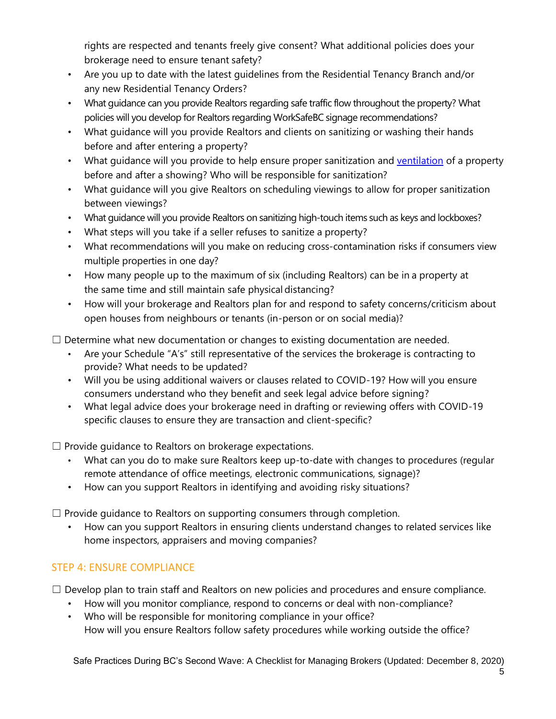rights are respected and tenants freely give consent? What additional policies does your brokerage need to ensure tenant safety?

- Are you up to date with the latest guidelines from the Residential Tenancy Branch and/or any new Residential Tenancy Orders?
- What guidance can you provide Realtors regarding safe traffic flow throughout the property? What policies will you develop for Realtors regarding WorkSafeBC signage recommendations?
- What guidance will you provide Realtors and clients on sanitizing or washing their hands before and after entering a property?
- What quidance will you provide to help ensure proper sanitization and [ventilation](https://www.worksafebc.com/en/resources/about-us/covid-19/general-ventilation-and-air-circulation-covid-19-faq?lang=en) of a property before and after a showing? Who will be responsible for sanitization?
- What guidance will you give Realtors on scheduling viewings to allow for proper sanitization between viewings?
- What guidance will you provide Realtors on sanitizing high-touch items such as keys and lockboxes?
- What steps will you take if a seller refuses to sanitize a property?
- What recommendations will you make on reducing cross-contamination risks if consumers view multiple properties in one day?
- How many people up to the maximum of six (including Realtors) can be in a property at the same time and still maintain safe physical distancing?
- How will your brokerage and Realtors plan for and respond to safety concerns/criticism about open houses from neighbours or tenants (in-person or on social media)?

 $\Box$  Determine what new documentation or changes to existing documentation are needed.

- Are your Schedule "A's" still representative of the services the brokerage is contracting to provide? What needs to be updated?
- Will you be using additional waivers or clauses related to COVID-19? How will you ensure consumers understand who they benefit and seek legal advice before signing?
- What legal advice does your brokerage need in drafting or reviewing offers with COVID-19 specific clauses to ensure they are transaction and client-specific?

☐ Provide guidance to Realtors on brokerage expectations.

- What can you do to make sure Realtors keep up-to-date with changes to procedures (regular remote attendance of office meetings, electronic communications, signage)?
- How can you support Realtors in identifying and avoiding risky situations?

 $\Box$  Provide guidance to Realtors on supporting consumers through completion.

• How can you support Realtors in ensuring clients understand changes to related services like home inspectors, appraisers and moving companies?

#### STEP 4: ENSURE COMPLIANCE

 $\Box$  Develop plan to train staff and Realtors on new policies and procedures and ensure compliance.

- How will you monitor compliance, respond to concerns or deal with non-compliance?
- Who will be responsible for monitoring compliance in your office? How will you ensure Realtors follow safety procedures while working outside the office?

Safe Practices During BC's Second Wave: A Checklist for Managing Brokers (Updated: December 8, 2020)